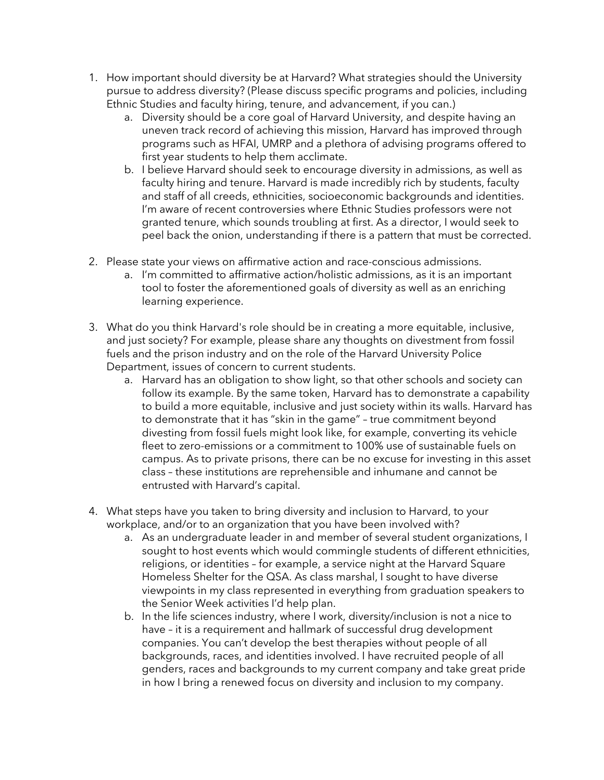- 1. How important should diversity be at Harvard? What strategies should the University pursue to address diversity? (Please discuss specific programs and policies, including Ethnic Studies and faculty hiring, tenure, and advancement, if you can.)
	- a. Diversity should be a core goal of Harvard University, and despite having an uneven track record of achieving this mission, Harvard has improved through programs such as HFAI, UMRP and a plethora of advising programs offered to first year students to help them acclimate.
	- b. I believe Harvard should seek to encourage diversity in admissions, as well as faculty hiring and tenure. Harvard is made incredibly rich by students, faculty and staff of all creeds, ethnicities, socioeconomic backgrounds and identities. I'm aware of recent controversies where Ethnic Studies professors were not granted tenure, which sounds troubling at first. As a director, I would seek to peel back the onion, understanding if there is a pattern that must be corrected.
- 2. Please state your views on affirmative action and race-conscious admissions.
	- a. I'm committed to affirmative action/holistic admissions, as it is an important tool to foster the aforementioned goals of diversity as well as an enriching learning experience.
- 3. What do you think Harvard's role should be in creating a more equitable, inclusive, and just society? For example, please share any thoughts on divestment from fossil fuels and the prison industry and on the role of the Harvard University Police Department, issues of concern to current students.
	- a. Harvard has an obligation to show light, so that other schools and society can follow its example. By the same token, Harvard has to demonstrate a capability to build a more equitable, inclusive and just society within its walls. Harvard has to demonstrate that it has "skin in the game" – true commitment beyond divesting from fossil fuels might look like, for example, converting its vehicle fleet to zero-emissions or a commitment to 100% use of sustainable fuels on campus. As to private prisons, there can be no excuse for investing in this asset class – these institutions are reprehensible and inhumane and cannot be entrusted with Harvard's capital.
- 4. What steps have you taken to bring diversity and inclusion to Harvard, to your workplace, and/or to an organization that you have been involved with?
	- a. As an undergraduate leader in and member of several student organizations, I sought to host events which would commingle students of different ethnicities, religions, or identities – for example, a service night at the Harvard Square Homeless Shelter for the QSA. As class marshal, I sought to have diverse viewpoints in my class represented in everything from graduation speakers to the Senior Week activities I'd help plan.
	- b. In the life sciences industry, where I work, diversity/inclusion is not a nice to have – it is a requirement and hallmark of successful drug development companies. You can't develop the best therapies without people of all backgrounds, races, and identities involved. I have recruited people of all genders, races and backgrounds to my current company and take great pride in how I bring a renewed focus on diversity and inclusion to my company.